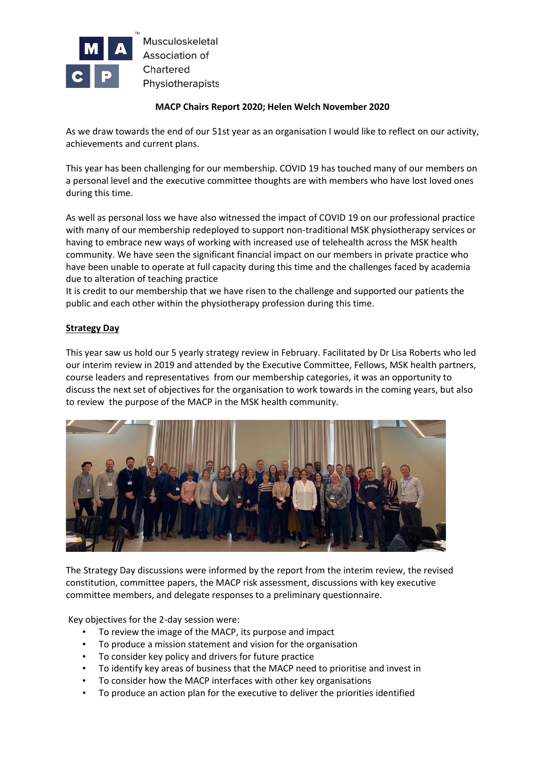

## **MACP Chairs Report 2020; Helen Welch November 2020**

As we draw towards the end of our 51st year as an organisation I would like to reflect on our activity, achievements and current plans.

This year has been challenging for our membership. COVID 19 has touched many of our members on a personal level and the executive committee thoughts are with members who have lost loved ones during this time.

As well as personal loss we have also witnessed the impact of COVID 19 on our professional practice with many of our membership redeployed to support non-traditional MSK physiotherapy services or having to embrace new ways of working with increased use of telehealth across the MSK health community. We have seen the significant financial impact on our members in private practice who have been unable to operate at full capacity during this time and the challenges faced by academia due to alteration of teaching practice

It is credit to our membership that we have risen to the challenge and supported our patients the public and each other within the physiotherapy profession during this time.

## **Strategy Day**

This year saw us hold our 5 yearly strategy review in February. Facilitated by Dr Lisa Roberts who led our interim review in 2019 and attended by the Executive Committee, Fellows, MSK health partners, course leaders and representatives from our membership categories, it was an opportunity to discuss the next set of objectives for the organisation to work towards in the coming years, but also to review the purpose of the MACP in the MSK health community.



The Strategy Day discussions were informed by the report from the interim review, the revised constitution, committee papers, the MACP risk assessment, discussions with key executive committee members, and delegate responses to a preliminary questionnaire.

Key objectives for the 2-day session were:

- To review the image of the MACP, its purpose and impact
- To produce a mission statement and vision for the organisation
- To consider key policy and drivers for future practice
- To identify key areas of business that the MACP need to prioritise and invest in
- To consider how the MACP interfaces with other key organisations
- To produce an action plan for the executive to deliver the priorities identified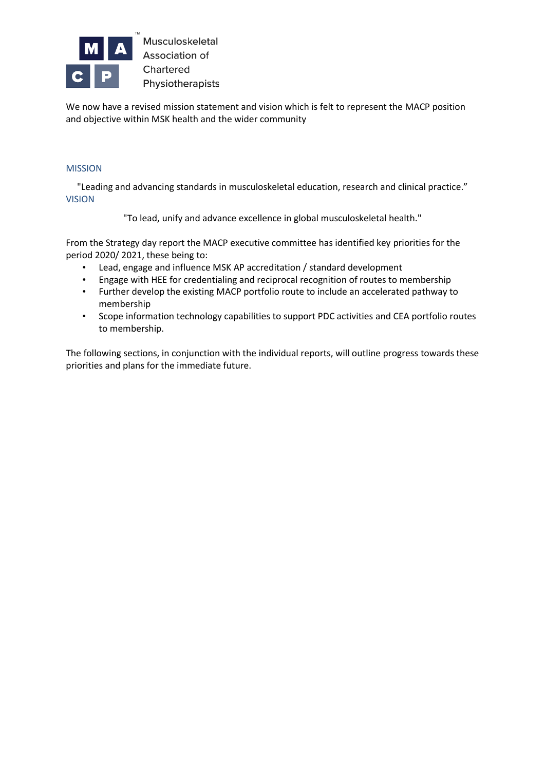

We now have a revised mission statement and vision which is felt to represent the MACP position and objective within MSK health and the wider community

## MISSION

"Leading and advancing standards in musculoskeletal education, research and clinical practice." VISION

"To lead, unify and advance excellence in global musculoskeletal health."

From the Strategy day report the MACP executive committee has identified key priorities for the period 2020/ 2021, these being to:

- Lead, engage and influence MSK AP accreditation / standard development
- Engage with HEE for credentialing and reciprocal recognition of routes to membership
- Further develop the existing MACP portfolio route to include an accelerated pathway to membership
- Scope information technology capabilities to support PDC activities and CEA portfolio routes to membership.

The following sections, in conjunction with the individual reports, will outline progress towards these priorities and plans for the immediate future.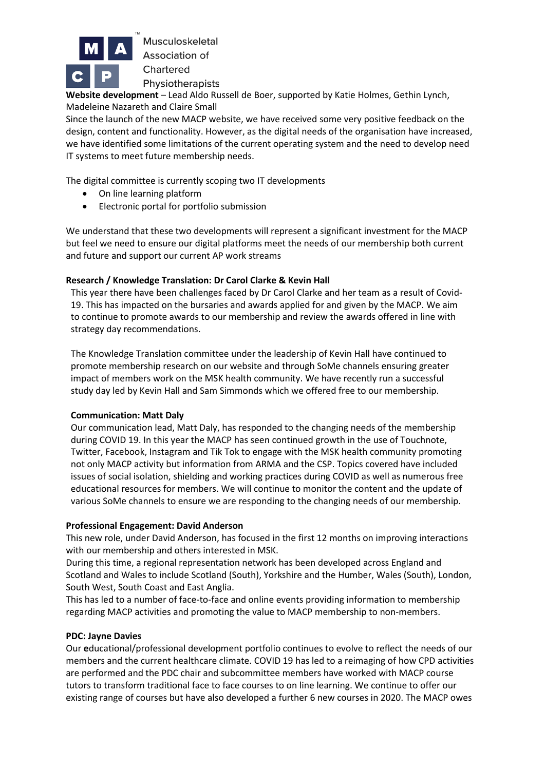

**Website development** – Lead Aldo Russell de Boer, supported by Katie Holmes, Gethin Lynch, Madeleine Nazareth and Claire Small

Since the launch of the new MACP website, we have received some very positive feedback on the design, content and functionality. However, as the digital needs of the organisation have increased, we have identified some limitations of the current operating system and the need to develop need IT systems to meet future membership needs.

The digital committee is currently scoping two IT developments

- On line learning platform
- Electronic portal for portfolio submission

We understand that these two developments will represent a significant investment for the MACP but feel we need to ensure our digital platforms meet the needs of our membership both current and future and support our current AP work streams

## **Research / Knowledge Translation: Dr Carol Clarke & Kevin Hall**

This year there have been challenges faced by Dr Carol Clarke and her team as a result of Covid-19. This has impacted on the bursaries and awards applied for and given by the MACP. We aim to continue to promote awards to our membership and review the awards offered in line with strategy day recommendations.

The Knowledge Translation committee under the leadership of Kevin Hall have continued to promote membership research on our website and through SoMe channels ensuring greater impact of members work on the MSK health community. We have recently run a successful study day led by Kevin Hall and Sam Simmonds which we offered free to our membership.

## **Communication: Matt Daly**

Our communication lead, Matt Daly, has responded to the changing needs of the membership during COVID 19. In this year the MACP has seen continued growth in the use of Touchnote, Twitter, Facebook, Instagram and Tik Tok to engage with the MSK health community promoting not only MACP activity but information from ARMA and the CSP. Topics covered have included issues of social isolation, shielding and working practices during COVID as well as numerous free educational resources for members. We will continue to monitor the content and the update of various SoMe channels to ensure we are responding to the changing needs of our membership.

## **Professional Engagement: David Anderson**

This new role, under David Anderson, has focused in the first 12 months on improving interactions with our membership and others interested in MSK.

During this time, a regional representation network has been developed across England and Scotland and Wales to include Scotland (South), Yorkshire and the Humber, Wales (South), London, South West, South Coast and East Anglia.

This has led to a number of face-to-face and online events providing information to membership regarding MACP activities and promoting the value to MACP membership to non-members.

## **PDC: Jayne Davies**

Our **e**ducational/professional development portfolio continues to evolve to reflect the needs of our members and the current healthcare climate. COVID 19 has led to a reimaging of how CPD activities are performed and the PDC chair and subcommittee members have worked with MACP course tutors to transform traditional face to face courses to on line learning. We continue to offer our existing range of courses but have also developed a further 6 new courses in 2020. The MACP owes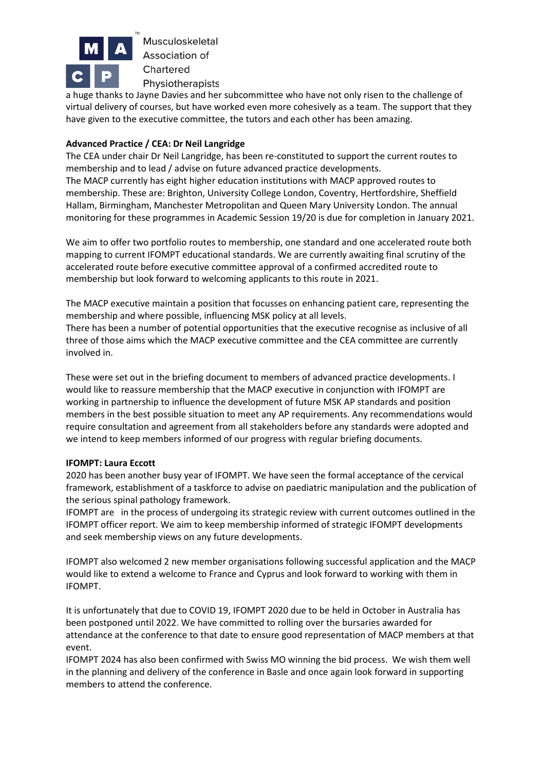

a huge thanks to Jayne Davies and her subcommittee who have not only risen to the challenge of virtual delivery of courses, but have worked even more cohesively as a team. The support that they have given to the executive committee, the tutors and each other has been amazing.

# **Advanced Practice / CEA: Dr Neil Langridge**

The CEA under chair Dr Neil Langridge, has been re-constituted to support the current routes to membership and to lead / advise on future advanced practice developments. The MACP currently has eight higher education institutions with MACP approved routes to membership. These are: Brighton, University College London, Coventry, Hertfordshire, Sheffield Hallam, Birmingham, Manchester Metropolitan and Queen Mary University London. The annual monitoring for these programmes in Academic Session 19/20 is due for completion in January 2021.

We aim to offer two portfolio routes to membership, one standard and one accelerated route both mapping to current IFOMPT educational standards. We are currently awaiting final scrutiny of the accelerated route before executive committee approval of a confirmed accredited route to membership but look forward to welcoming applicants to this route in 2021.

The MACP executive maintain a position that focusses on enhancing patient care, representing the membership and where possible, influencing MSK policy at all levels.

There has been a number of potential opportunities that the executive recognise as inclusive of all three of those aims which the MACP executive committee and the CEA committee are currently involved in.

These were set out in the briefing document to members of advanced practice developments. I would like to reassure membership that the MACP executive in conjunction with IFOMPT are working in partnership to influence the development of future MSK AP standards and position members in the best possible situation to meet any AP requirements. Any recommendations would require consultation and agreement from all stakeholders before any standards were adopted and we intend to keep members informed of our progress with regular briefing documents.

## **IFOMPT: Laura Eccott**

2020 has been another busy year of IFOMPT. We have seen the formal acceptance of the cervical framework, establishment of a taskforce to advise on paediatric manipulation and the publication of the serious spinal pathology framework.

IFOMPT are in the process of undergoing its strategic review with current outcomes outlined in the IFOMPT officer report. We aim to keep membership informed of strategic IFOMPT developments and seek membership views on any future developments.

IFOMPT also welcomed 2 new member organisations following successful application and the MACP would like to extend a welcome to France and Cyprus and look forward to working with them in IFOMPT.

It is unfortunately that due to COVID 19, IFOMPT 2020 due to be held in October in Australia has been postponed until 2022. We have committed to rolling over the bursaries awarded for attendance at the conference to that date to ensure good representation of MACP members at that event.

IFOMPT 2024 has also been confirmed with Swiss MO winning the bid process. We wish them well in the planning and delivery of the conference in Basle and once again look forward in supporting members to attend the conference.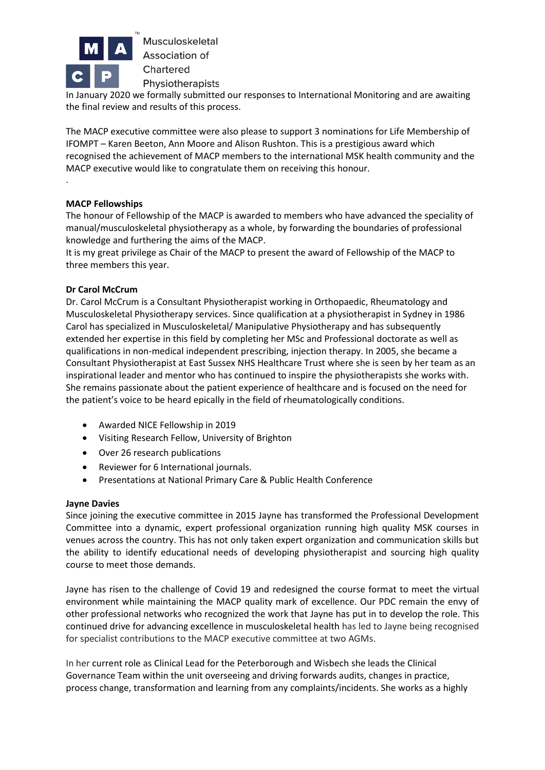

In January 2020 we formally submitted our responses to International Monitoring and are awaiting the final review and results of this process.

The MACP executive committee were also please to support 3 nominations for Life Membership of IFOMPT – Karen Beeton, Ann Moore and Alison Rushton. This is a prestigious award which recognised the achievement of MACP members to the international MSK health community and the MACP executive would like to congratulate them on receiving this honour.

## **MACP Fellowships**

.

The honour of Fellowship of the MACP is awarded to members who have advanced the speciality of manual/musculoskeletal physiotherapy as a whole, by forwarding the boundaries of professional knowledge and furthering the aims of the MACP.

It is my great privilege as Chair of the MACP to present the award of Fellowship of the MACP to three members this year.

## **Dr Carol McCrum**

Dr. Carol McCrum is a Consultant Physiotherapist working in Orthopaedic, Rheumatology and Musculoskeletal Physiotherapy services. Since qualification at a physiotherapist in Sydney in 1986 Carol has specialized in Musculoskeletal/ Manipulative Physiotherapy and has subsequently extended her expertise in this field by completing her MSc and Professional doctorate as well as qualifications in non-medical independent prescribing, injection therapy. In 2005, she became a Consultant Physiotherapist at East Sussex NHS Healthcare Trust where she is seen by her team as an inspirational leader and mentor who has continued to inspire the physiotherapists she works with. She remains passionate about the patient experience of healthcare and is focused on the need for the patient's voice to be heard epically in the field of rheumatologically conditions.

- Awarded NICE Fellowship in 2019
- Visiting Research Fellow, University of Brighton
- Over 26 research publications
- Reviewer for 6 International journals.
- Presentations at National Primary Care & Public Health Conference

## **Jayne Davies**

Since joining the executive committee in 2015 Jayne has transformed the Professional Development Committee into a dynamic, expert professional organization running high quality MSK courses in venues across the country. This has not only taken expert organization and communication skills but the ability to identify educational needs of developing physiotherapist and sourcing high quality course to meet those demands.

Jayne has risen to the challenge of Covid 19 and redesigned the course format to meet the virtual environment while maintaining the MACP quality mark of excellence. Our PDC remain the envy of other professional networks who recognized the work that Jayne has put in to develop the role. This continued drive for advancing excellence in musculoskeletal health has led to Jayne being recognised for specialist contributions to the MACP executive committee at two AGMs.

In her current role as Clinical Lead for the Peterborough and Wisbech she leads the Clinical Governance Team within the unit overseeing and driving forwards audits, changes in practice, process change, transformation and learning from any complaints/incidents. She works as a highly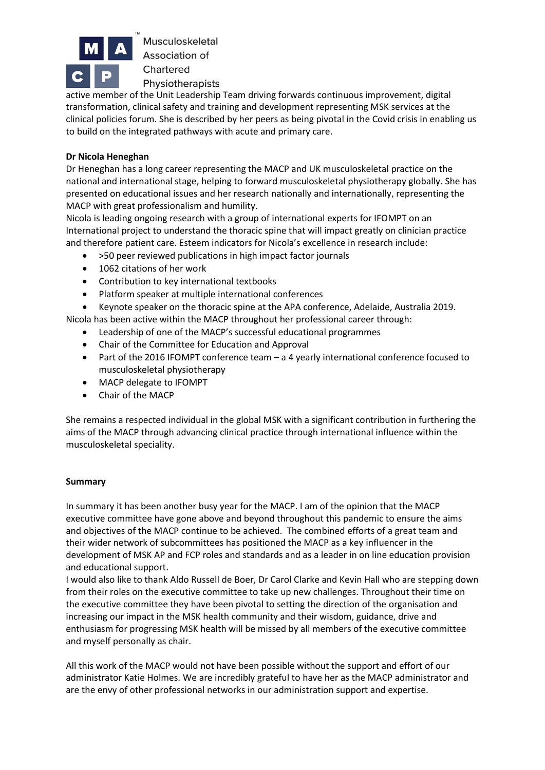

Physiotherapists active member of the Unit Leadership Team driving forwards continuous improvement, digital transformation, clinical safety and training and development representing MSK services at the clinical policies forum. She is described by her peers as being pivotal in the Covid crisis in enabling us to build on the integrated pathways with acute and primary care.

# **Dr Nicola Heneghan**

Dr Heneghan has a long career representing the MACP and UK musculoskeletal practice on the national and international stage, helping to forward musculoskeletal physiotherapy globally. She has presented on educational issues and her research nationally and internationally, representing the MACP with great professionalism and humility.

Nicola is leading ongoing research with a group of international experts for IFOMPT on an International project to understand the thoracic spine that will impact greatly on clinician practice and therefore patient care. Esteem indicators for Nicola's excellence in research include:

- >50 peer reviewed publications in high impact factor journals
- 1062 citations of her work
- Contribution to key international textbooks
- Platform speaker at multiple international conferences

• Keynote speaker on the thoracic spine at the APA conference, Adelaide, Australia 2019.

Nicola has been active within the MACP throughout her professional career through:

- Leadership of one of the MACP's successful educational programmes
- Chair of the Committee for Education and Approval
- Part of the 2016 IFOMPT conference team a 4 yearly international conference focused to musculoskeletal physiotherapy
- MACP delegate to IFOMPT
- Chair of the MACP

She remains a respected individual in the global MSK with a significant contribution in furthering the aims of the MACP through advancing clinical practice through international influence within the musculoskeletal speciality.

## **Summary**

In summary it has been another busy year for the MACP. I am of the opinion that the MACP executive committee have gone above and beyond throughout this pandemic to ensure the aims and objectives of the MACP continue to be achieved. The combined efforts of a great team and their wider network of subcommittees has positioned the MACP as a key influencer in the development of MSK AP and FCP roles and standards and as a leader in on line education provision and educational support.

I would also like to thank Aldo Russell de Boer, Dr Carol Clarke and Kevin Hall who are stepping down from their roles on the executive committee to take up new challenges. Throughout their time on the executive committee they have been pivotal to setting the direction of the organisation and increasing our impact in the MSK health community and their wisdom, guidance, drive and enthusiasm for progressing MSK health will be missed by all members of the executive committee and myself personally as chair.

All this work of the MACP would not have been possible without the support and effort of our administrator Katie Holmes. We are incredibly grateful to have her as the MACP administrator and are the envy of other professional networks in our administration support and expertise.